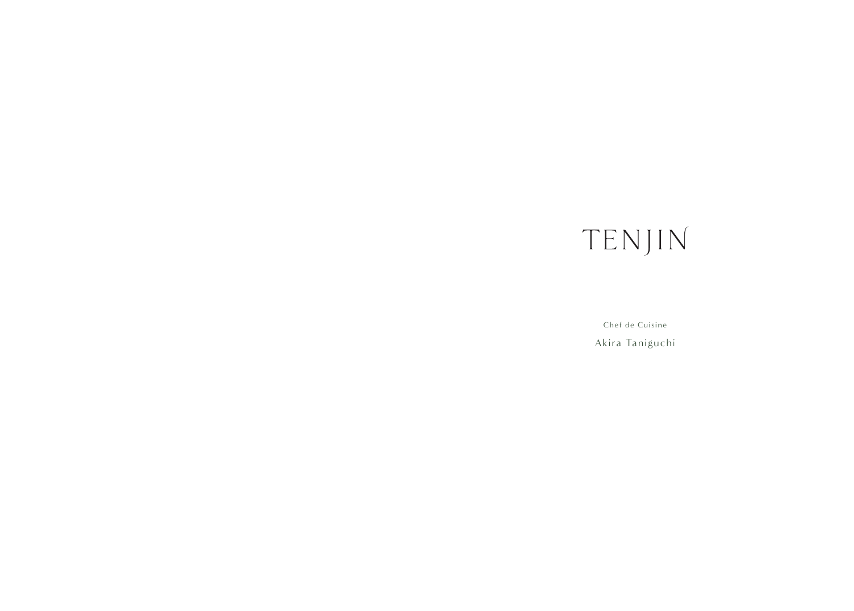## TENJIN

Chef de Cuisine Akira Taniguchi